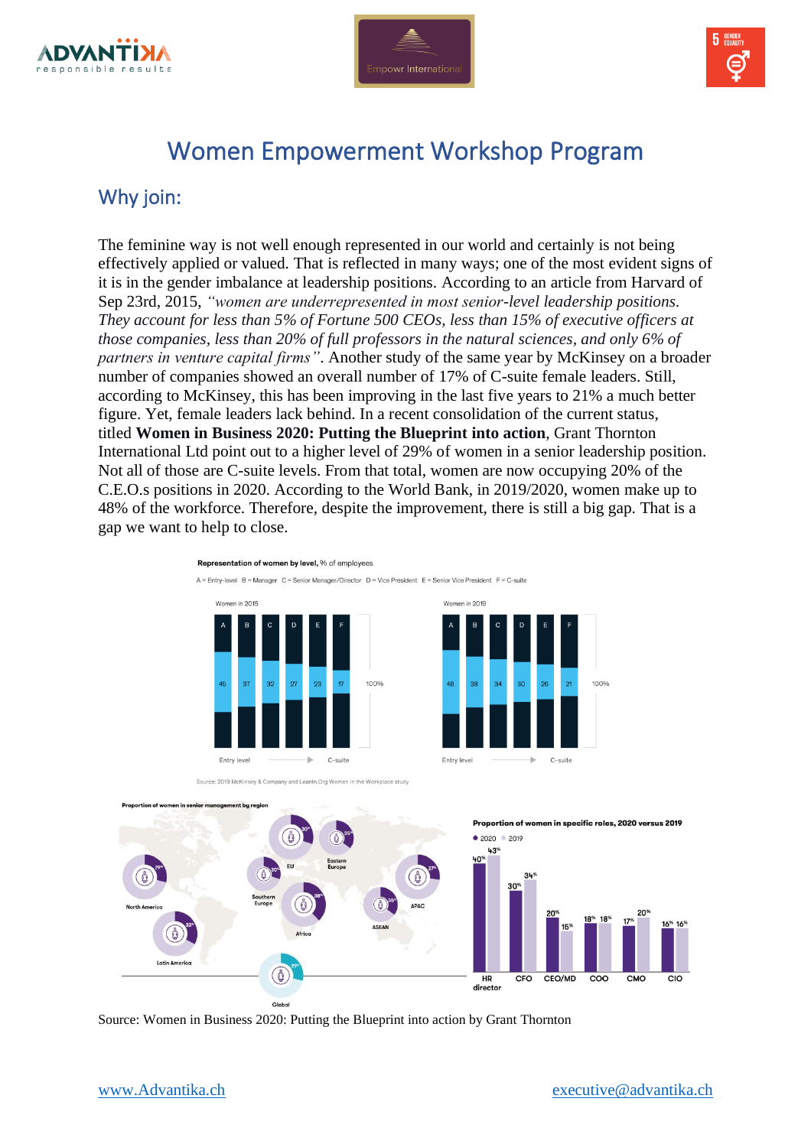





# Women Empowerment Workshop Program

### Why join:

The feminine way is not well enough represented in our world and certainly is not being effectively applied or valued. That is reflected in many ways; one of the most evident signs of it is in the gender imbalance at leadership positions. According to an article from Harvard of Sep 23rd, 2015, *"women are underrepresented in most senior-level leadership positions. They account for less than 5% of Fortune 500 CEOs, less than 15% of executive officers at those companies, less than 20% of full professors in the natural sciences, and only 6% of partners in venture capital firms"*. Another study of the same year by McKinsey on a broader number of companies showed an overall number of 17% of C-suite female leaders. Still, according to McKinsey, this has been improving in the last five years to 21% a much better figure. Yet, female leaders lack behind. In a recent consolidation of the current status, titled **Women in Business 2020: Putting the Blueprint into action**, Grant Thornton International Ltd point out to a higher level of 29% of women in a senior leadership position. Not all of those are C-suite levels. From that total, women are now occupying 20% of the C.E.O.s positions in 2020. According to the World Bank, in 2019/2020, women make up to 48% of the workforce. Therefore, despite the improvement, there is still a big gap. That is a gap we want to help to close.

#### Representation of women by level, % of employee

 $\Delta = \text{Ent}_{V} - \text{level}$  R = Manager C = Senior Manager/Director D = Vice President E = Senior Vice President E = C-suite



 $\overline{\phantom{a}}$ C-suite



100%

Women in 2019

Source: 2019 McKinsey & Company and LeanIn.Org Women in the Workplace study



Source: Women in Business 2020: Putting the Blueprint into action by Grant Thornton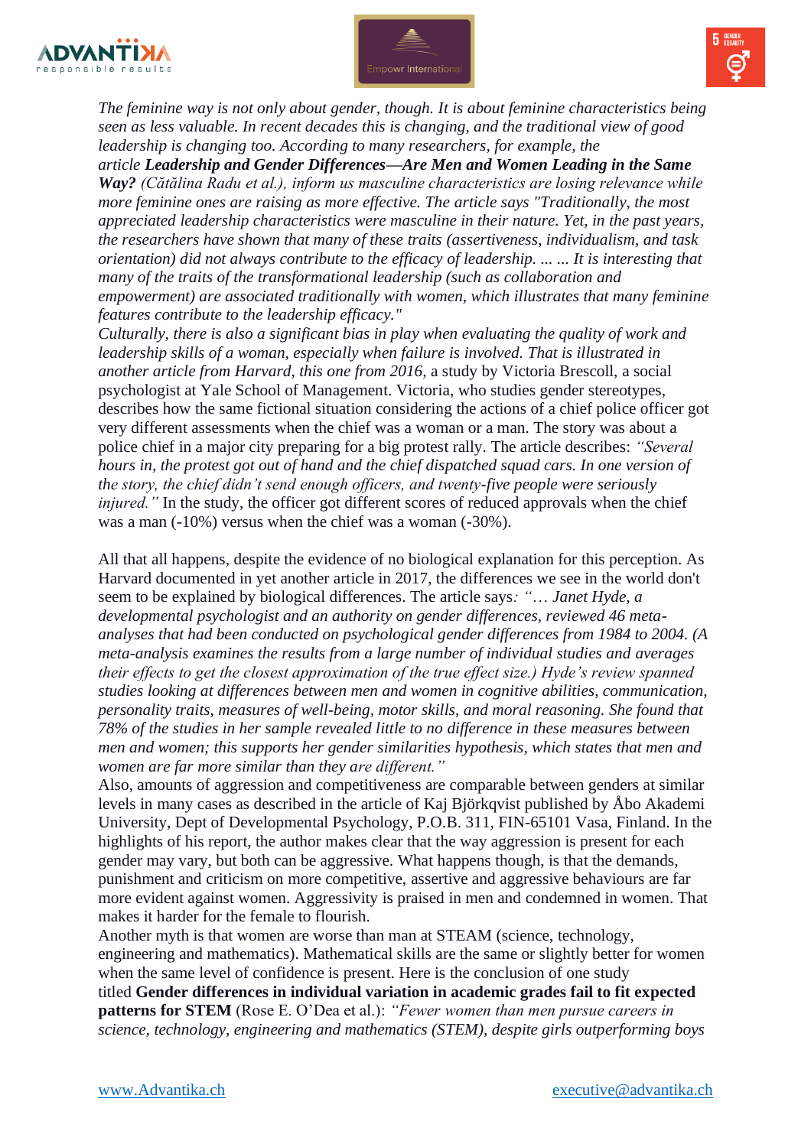





*The feminine way is not only about gender, though. It is about feminine characteristics being seen as less valuable. In recent decades this is changing, and the traditional view of good leadership is changing too. According to many researchers, for example, the* 

*article Leadership and Gender Differences—Are Men and Women Leading in the Same Way? (Cătălina Radu et al.), inform us masculine characteristics are losing relevance while more feminine ones are raising as more effective. The article says "Traditionally, the most appreciated leadership characteristics were masculine in their nature. Yet, in the past years, the researchers have shown that many of these traits (assertiveness, individualism, and task orientation) did not always contribute to the efficacy of leadership. ... ... It is interesting that many of the traits of the transformational leadership (such as collaboration and empowerment) are associated traditionally with women, which illustrates that many feminine features contribute to the leadership efficacy."* 

*Culturally, there is also a significant bias in play when evaluating the quality of work and leadership skills of a woman, especially when failure is involved. That is illustrated in another article from Harvard, this one from 2016,* a study by Victoria Brescoll, a social psychologist at Yale School of Management. Victoria, who studies gender stereotypes, describes how the same fictional situation considering the actions of a chief police officer got very different assessments when the chief was a woman or a man. The story was about a police chief in a major city preparing for a big protest rally. The article describes: *"Several hours in, the protest got out of hand and the chief dispatched squad cars. In one version of the story, the chief didn't send enough officers, and twenty-five people were seriously injured.*" In the study, the officer got different scores of reduced approvals when the chief was a man (-10%) versus when the chief was a woman (-30%).

All that all happens, despite the evidence of no biological explanation for this perception. As Harvard documented in yet another article in 2017, the differences we see in the world don't seem to be explained by biological differences. The article says*: "*… *Janet Hyde, a developmental psychologist and an authority on gender differences, reviewed 46 metaanalyses that had been conducted on psychological gender differences from 1984 to 2004. (A meta-analysis examines the results from a large number of individual studies and averages their effects to get the closest approximation of the true effect size.) Hyde's review spanned studies looking at differences between men and women in cognitive abilities, communication, personality traits, measures of well-being, motor skills, and moral reasoning. She found that 78% of the studies in her sample revealed little to no difference in these measures between men and women; this supports her gender similarities hypothesis, which states that men and women are far more similar than they are different."*

Also, amounts of aggression and competitiveness are comparable between genders at similar levels in many cases as described in the article of Kaj Björkqvist published by Åbo Akademi University, Dept of Developmental Psychology, P.O.B. 311, FIN-65101 Vasa, Finland. In the highlights of his report, the author makes clear that the way aggression is present for each gender may vary, but both can be aggressive. What happens though, is that the demands, punishment and criticism on more competitive, assertive and aggressive behaviours are far more evident against women. Aggressivity is praised in men and condemned in women. That makes it harder for the female to flourish.

Another myth is that women are worse than man at STEAM (science, technology, engineering and mathematics). Mathematical skills are the same or slightly better for women when the same level of confidence is present. Here is the conclusion of one study titled **Gender differences in individual variation in academic grades fail to fit expected patterns for STEM** (Rose E. O'Dea et al.): *"Fewer women than men pursue careers in science, technology, engineering and mathematics (STEM), despite girls outperforming boys*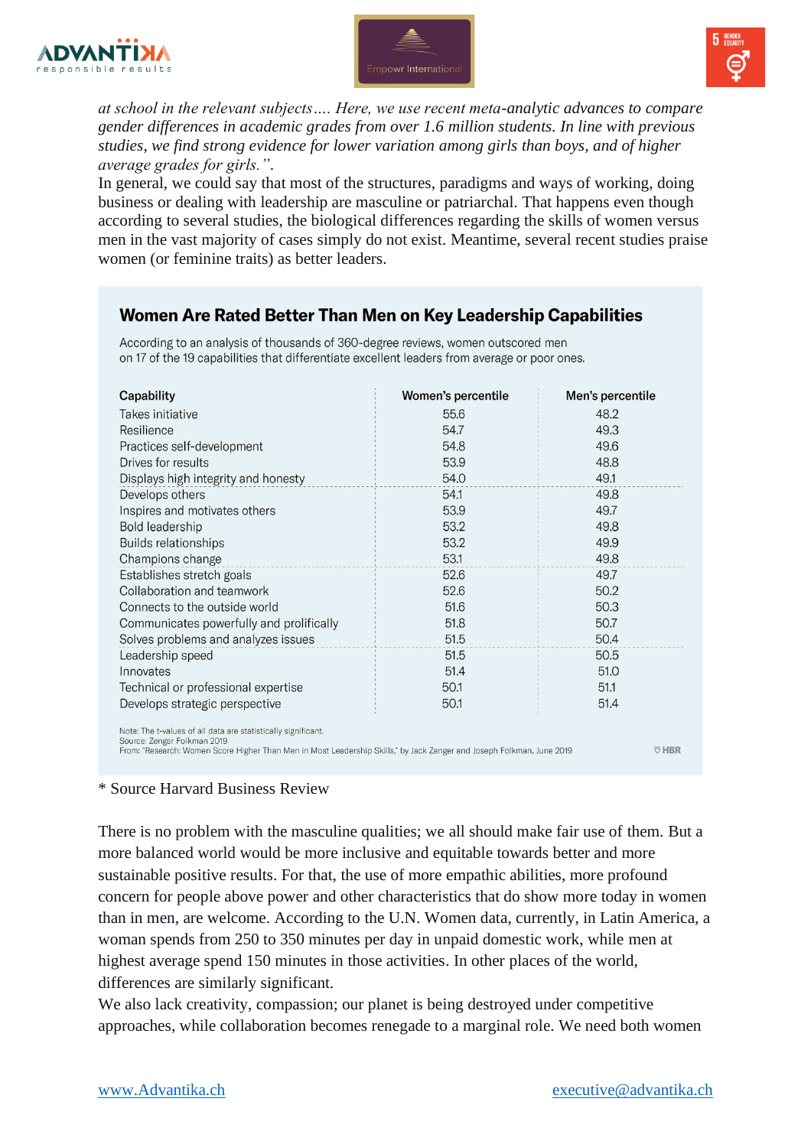





*at school in the relevant subjects…. Here, we use recent meta-analytic advances to compare gender differences in academic grades from over 1.6 million students. In line with previous studies, we find strong evidence for lower variation among girls than boys, and of higher average grades for girls."*.

In general, we could say that most of the structures, paradigms and ways of working, doing business or dealing with leadership are masculine or patriarchal. That happens even though according to several studies, the biological differences regarding the skills of women versus men in the vast majority of cases simply do not exist. Meantime, several recent studies praise women (or feminine traits) as better leaders.

### Women Are Rated Better Than Men on Key Leadership Capabilities

According to an analysis of thousands of 360-degree reviews, women outscored men on 17 of the 19 capabilities that differentiate excellent leaders from average or poor ones.

| Capability                                                                                                                                                                                                           | Women's percentile | Men's percentile |
|----------------------------------------------------------------------------------------------------------------------------------------------------------------------------------------------------------------------|--------------------|------------------|
| Takes initiative                                                                                                                                                                                                     | 55.6               | 48.2             |
| Resilience                                                                                                                                                                                                           | 54.7               | 49.3             |
| Practices self-development                                                                                                                                                                                           | 54.8               | 49.6             |
| Drives for results                                                                                                                                                                                                   | 53.9               | 48.8             |
| Displays high integrity and honesty                                                                                                                                                                                  | 54.0               | 49.1             |
| Develops others                                                                                                                                                                                                      | 54.1               | 49.8             |
| Inspires and motivates others                                                                                                                                                                                        | 53.9               | 49.7             |
| Bold leadership                                                                                                                                                                                                      | 53.2               | 49.8             |
| <b>Builds relationships</b>                                                                                                                                                                                          | 53.2               | 49.9             |
| Champions change                                                                                                                                                                                                     | 53.1               | 49.8             |
| Establishes stretch goals                                                                                                                                                                                            | 52.6               | 49.7             |
| Collaboration and teamwork                                                                                                                                                                                           | 52.6               | 50.2             |
| Connects to the outside world                                                                                                                                                                                        | 51.6               | 50.3             |
| Communicates powerfully and prolifically                                                                                                                                                                             | 51.8               | 50.7             |
| Solves problems and analyzes issues                                                                                                                                                                                  | 51.5               | 50.4             |
| Leadership speed                                                                                                                                                                                                     | 51.5               | 50.5             |
| Innovates                                                                                                                                                                                                            | 51.4               | 51.0             |
| Technical or professional expertise                                                                                                                                                                                  | 50.1               | 51.1             |
| Develops strategic perspective                                                                                                                                                                                       | 50.1               | 51.4             |
| Note: The t-values of all data are statistically significant.<br>Source: Zenger Folkman 2019<br>From: "Research: Women Score Hisher Than Men in Most Leadershin Skills" by Jack Zenser and Joseph Folkman, June 2019 |                    | <b>URD</b>       |

#### \* Source Harvard Business Review

There is no problem with the masculine qualities; we all should make fair use of them. But a more balanced world would be more inclusive and equitable towards better and more sustainable positive results. For that, the use of more empathic abilities, more profound concern for people above power and other characteristics that do show more today in women than in men, are welcome. According to the U.N. Women data, currently, in Latin America, a woman spends from 250 to 350 minutes per day in unpaid domestic work, while men at highest average spend 150 minutes in those activities. In other places of the world, differences are similarly significant.

We also lack creativity, compassion; our planet is being destroyed under competitive approaches, while collaboration becomes renegade to a marginal role. We need both women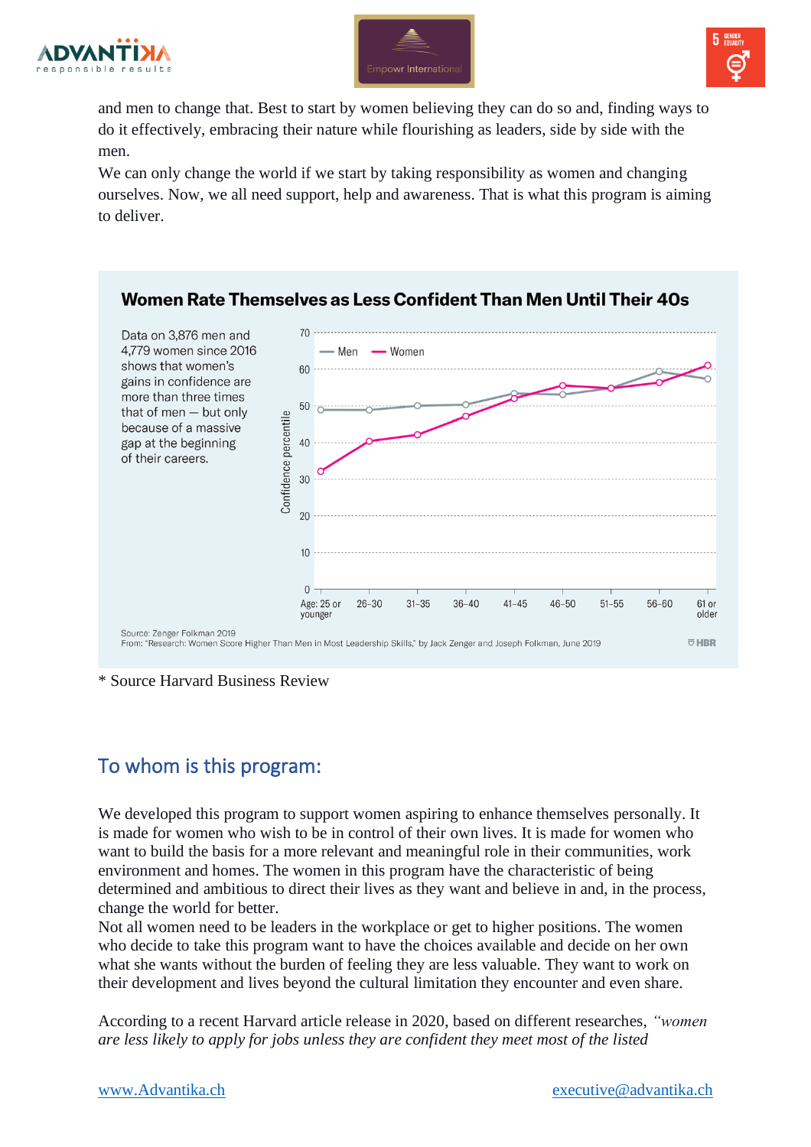





and men to change that. Best to start by women believing they can do so and, finding ways to do it effectively, embracing their nature while flourishing as leaders, side by side with the men.

We can only change the world if we start by taking responsibility as women and changing ourselves. Now, we all need support, help and awareness. That is what this program is aiming to deliver.



\* Source Harvard Business Review

# To whom is this program:

We developed this program to support women aspiring to enhance themselves personally. It is made for women who wish to be in control of their own lives. It is made for women who want to build the basis for a more relevant and meaningful role in their communities, work environment and homes. The women in this program have the characteristic of being determined and ambitious to direct their lives as they want and believe in and, in the process, change the world for better.

Not all women need to be leaders in the workplace or get to higher positions. The women who decide to take this program want to have the choices available and decide on her own what she wants without the burden of feeling they are less valuable. They want to work on their development and lives beyond the cultural limitation they encounter and even share.

According to a recent Harvard article release in 2020, based on different researches, *"women are less likely to apply for jobs unless they are confident they meet most of the listed*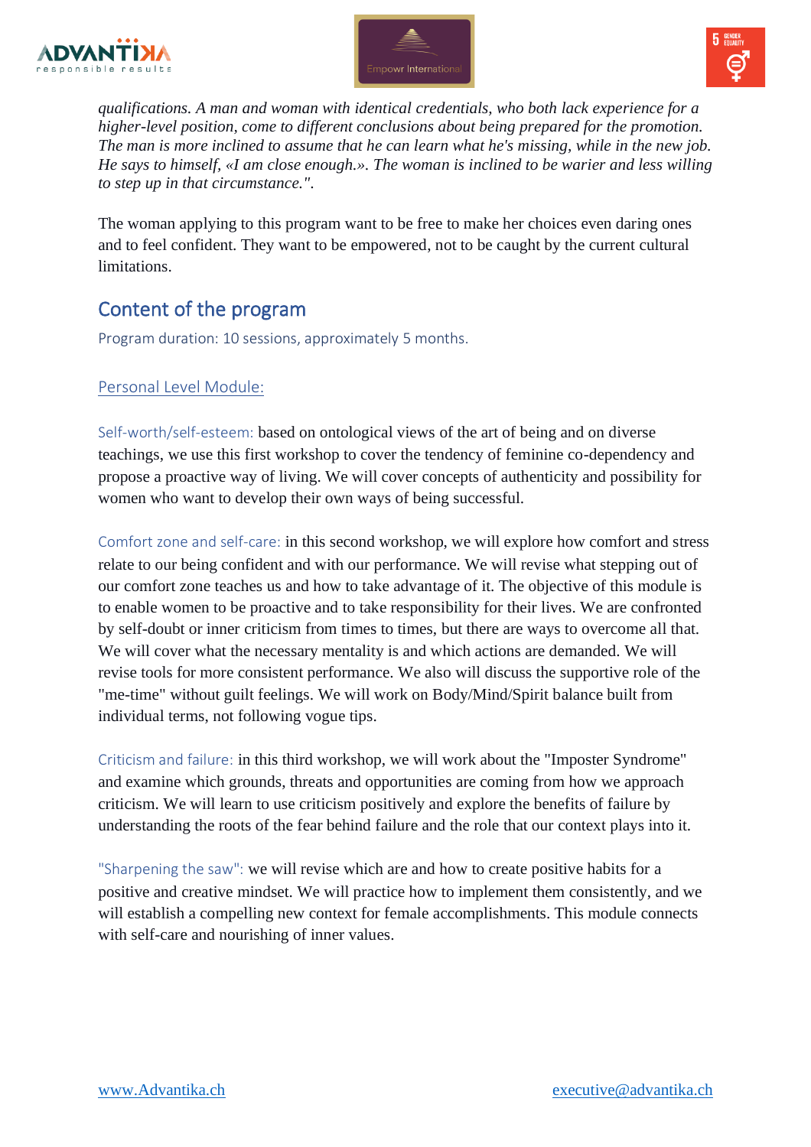





*qualifications. A man and woman with identical credentials, who both lack experience for a higher-level position, come to different conclusions about being prepared for the promotion. The man is more inclined to assume that he can learn what he's missing, while in the new job. He says to himself, «I am close enough.». The woman is inclined to be warier and less willing to step up in that circumstance."*.

The woman applying to this program want to be free to make her choices even daring ones and to feel confident. They want to be empowered, not to be caught by the current cultural limitations.

## Content of the program

Program duration: 10 sessions, approximately 5 months.

### Personal Level Module:

Self-worth/self-esteem: based on ontological views of the art of being and on diverse teachings, we use this first workshop to cover the tendency of feminine co-dependency and propose a proactive way of living. We will cover concepts of authenticity and possibility for women who want to develop their own ways of being successful.

Comfort zone and self-care: in this second workshop, we will explore how comfort and stress relate to our being confident and with our performance. We will revise what stepping out of our comfort zone teaches us and how to take advantage of it. The objective of this module is to enable women to be proactive and to take responsibility for their lives. We are confronted by self-doubt or inner criticism from times to times, but there are ways to overcome all that. We will cover what the necessary mentality is and which actions are demanded. We will revise tools for more consistent performance. We also will discuss the supportive role of the "me-time" without guilt feelings. We will work on Body/Mind/Spirit balance built from individual terms, not following vogue tips.

Criticism and failure: in this third workshop, we will work about the "Imposter Syndrome" and examine which grounds, threats and opportunities are coming from how we approach criticism. We will learn to use criticism positively and explore the benefits of failure by understanding the roots of the fear behind failure and the role that our context plays into it.

"Sharpening the saw": we will revise which are and how to create positive habits for a positive and creative mindset. We will practice how to implement them consistently, and we will establish a compelling new context for female accomplishments. This module connects with self-care and nourishing of inner values.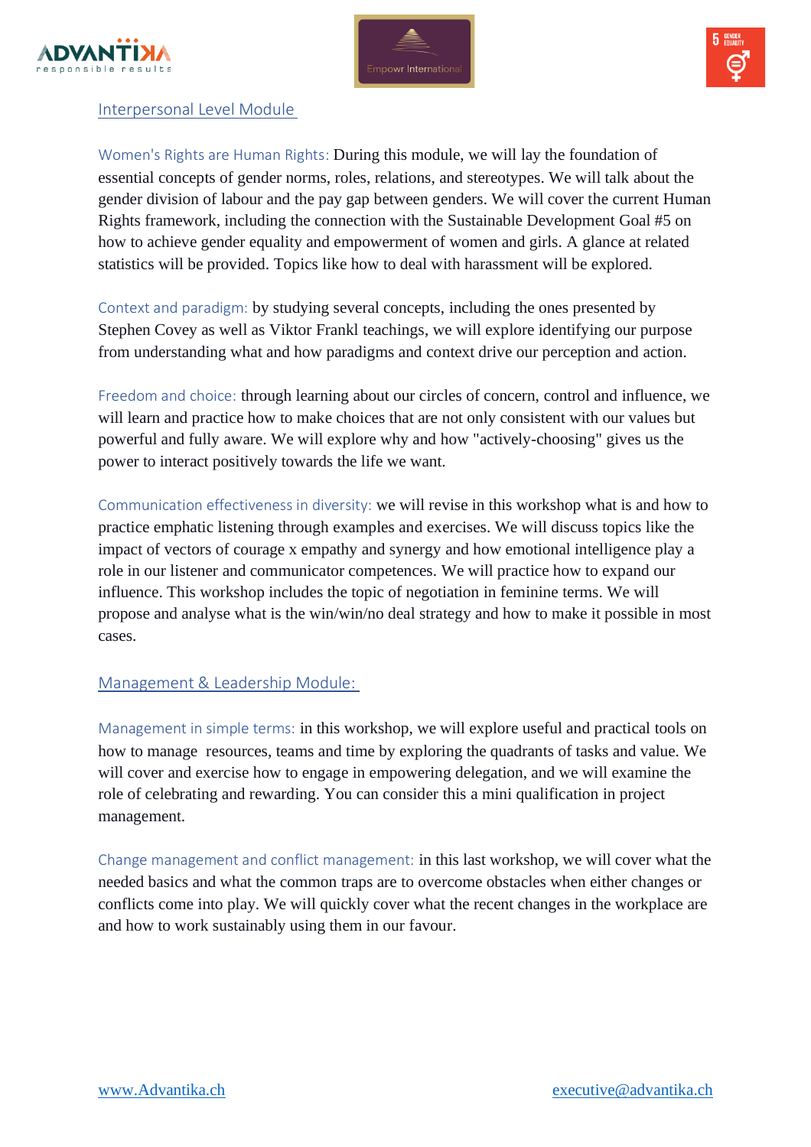





#### Interpersonal Level Module

Women's Rights are Human Rights: During this module, we will lay the foundation of essential concepts of gender norms, roles, relations, and stereotypes. We will talk about the gender division of labour and the pay gap between genders. We will cover the current Human Rights framework, including the connection with the Sustainable Development Goal #5 on how to achieve gender equality and empowerment of women and girls. A glance at related statistics will be provided. Topics like how to deal with harassment will be explored.

Context and paradigm: by studying several concepts, including the ones presented by Stephen Covey as well as Viktor Frankl teachings, we will explore identifying our purpose from understanding what and how paradigms and context drive our perception and action.

Freedom and choice: through learning about our circles of concern, control and influence, we will learn and practice how to make choices that are not only consistent with our values but powerful and fully aware. We will explore why and how "actively-choosing" gives us the power to interact positively towards the life we want.

Communication effectiveness in diversity: we will revise in this workshop what is and how to practice emphatic listening through examples and exercises. We will discuss topics like the impact of vectors of courage x empathy and synergy and how emotional intelligence play a role in our listener and communicator competences. We will practice how to expand our influence. This workshop includes the topic of negotiation in feminine terms. We will propose and analyse what is the win/win/no deal strategy and how to make it possible in most cases.

#### Management & Leadership Module:

Management in simple terms: in this workshop, we will explore useful and practical tools on how to manage resources, teams and time by exploring the quadrants of tasks and value. We will cover and exercise how to engage in empowering delegation, and we will examine the role of celebrating and rewarding. You can consider this a mini qualification in project management.

Change management and conflict management: in this last workshop, we will cover what the needed basics and what the common traps are to overcome obstacles when either changes or conflicts come into play. We will quickly cover what the recent changes in the workplace are and how to work sustainably using them in our favour.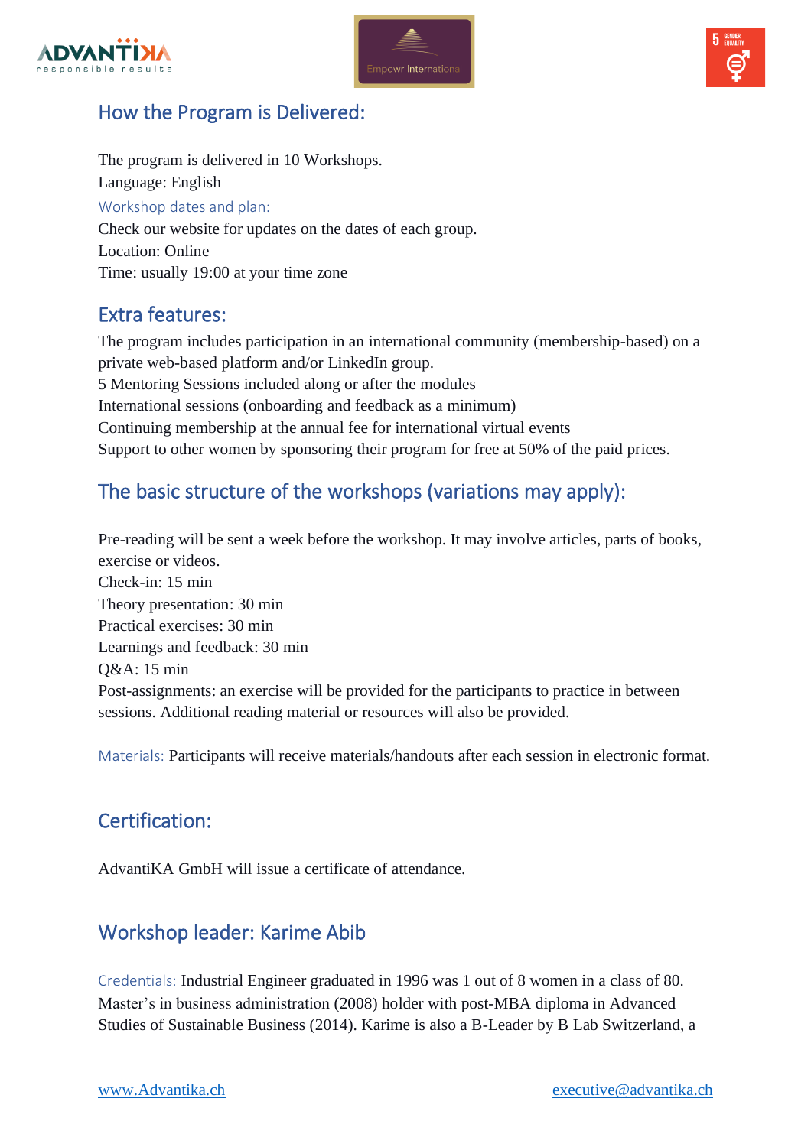





### How the Program is Delivered:

The program is delivered in 10 Workshops. Language: English Workshop dates and plan: Check our website for updates on the dates of each group. Location: Online Time: usually 19:00 at your time zone

### Extra features:

The program includes participation in an international community (membership-based) on a private web-based platform and/or LinkedIn group. 5 Mentoring Sessions included along or after the modules International sessions (onboarding and feedback as a minimum) Continuing membership at the annual fee for international virtual events Support to other women by sponsoring their program for free at 50% of the paid prices.

# The basic structure of the workshops (variations may apply):

Pre-reading will be sent a week before the workshop. It may involve articles, parts of books, exercise or videos. Check-in: 15 min Theory presentation: 30 min Practical exercises: 30 min Learnings and feedback: 30 min Q&A: 15 min Post-assignments: an exercise will be provided for the participants to practice in between sessions. Additional reading material or resources will also be provided.

Materials: Participants will receive materials/handouts after each session in electronic format.

### Certification:

AdvantiKA GmbH will issue a certificate of attendance.

### Workshop leader: Karime Abib

Credentials: Industrial Engineer graduated in 1996 was 1 out of 8 women in a class of 80. Master's in business administration (2008) holder with post-MBA diploma in Advanced Studies of Sustainable Business (2014). Karime is also a B-Leader by B Lab Switzerland, a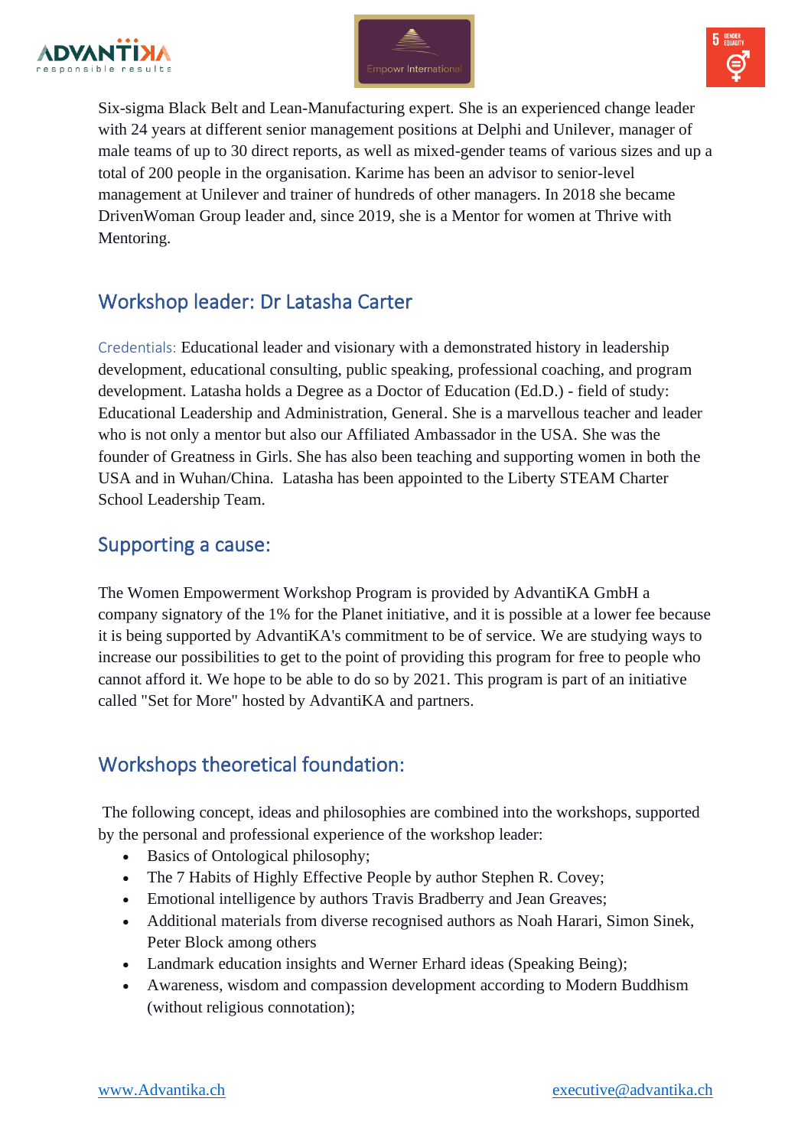





Six-sigma Black Belt and Lean-Manufacturing expert. She is an experienced change leader with 24 years at different senior management positions at Delphi and Unilever, manager of male teams of up to 30 direct reports, as well as mixed-gender teams of various sizes and up a total of 200 people in the organisation. Karime has been an advisor to senior-level management at Unilever and trainer of hundreds of other managers. In 2018 she became DrivenWoman Group leader and, since 2019, she is a Mentor for women at Thrive with Mentoring.

### Workshop leader: Dr Latasha Carter

Credentials: Educational leader and visionary with a demonstrated history in leadership development, educational consulting, public speaking, professional coaching, and program development. Latasha holds a Degree as a Doctor of Education (Ed.D.) - field of study: Educational Leadership and Administration, General. She is a marvellous teacher and leader who is not only a mentor but also our Affiliated Ambassador in the USA. She was the founder of Greatness in Girls. She has also been teaching and supporting women in both the USA and in Wuhan/China. Latasha has been appointed to the Liberty STEAM Charter School Leadership Team.

### Supporting a cause:

The Women Empowerment Workshop Program is provided by AdvantiKA GmbH a company signatory of the 1% for the Planet initiative, and it is possible at a lower fee because it is being supported by AdvantiKA's commitment to be of service. We are studying ways to increase our possibilities to get to the point of providing this program for free to people who cannot afford it. We hope to be able to do so by 2021. This program is part of an initiative called "Set for More" hosted by AdvantiKA and partners.

### Workshops theoretical foundation:

The following concept, ideas and philosophies are combined into the workshops, supported by the personal and professional experience of the workshop leader:

- Basics of Ontological philosophy;
- The 7 Habits of Highly Effective People by author Stephen R. Covey;
- Emotional intelligence by authors Travis Bradberry and Jean Greaves;
- Additional materials from diverse recognised authors as Noah Harari, Simon Sinek, Peter Block among others
- Landmark education insights and Werner Erhard ideas (Speaking Being);
- Awareness, wisdom and compassion development according to Modern Buddhism (without religious connotation);